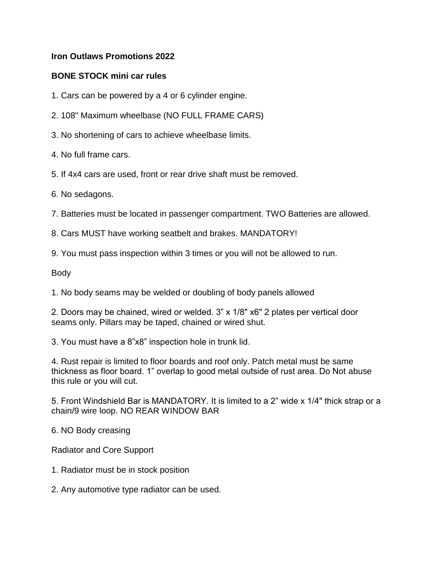# **Iron Outlaws Promotions 2022**

# **BONE STOCK mini car rules**

1. Cars can be powered by a 4 or 6 cylinder engine.

- 2. 108" Maximum wheelbase (NO FULL FRAME CARS)
- 3. No shortening of cars to achieve wheelbase limits.
- 4. No full frame cars.
- 5. If 4x4 cars are used, front or rear drive shaft must be removed.
- 6. No sedagons.

7. Batteries must be located in passenger compartment. TWO Batteries are allowed.

8. Cars MUST have working seatbelt and brakes. MANDATORY!

9. You must pass inspection within 3 times or you will not be allowed to run.

Body

1. No body seams may be welded or doubling of body panels allowed

2. Doors may be chained, wired or welded. 3" x 1/8" x6" 2 plates per vertical door seams only. Pillars may be taped, chained or wired shut.

3. You must have a 8"x8" inspection hole in trunk lid.

4. Rust repair is limited to floor boards and roof only. Patch metal must be same thickness as floor board. 1" overlap to good metal outside of rust area. Do Not abuse this rule or you will cut.

5. Front Windshield Bar is MANDATORY. It is limited to a 2" wide x 1/4" thick strap or a chain/9 wire loop. NO REAR WINDOW BAR

6. NO Body creasing

Radiator and Core Support

- 1. Radiator must be in stock position
- 2. Any automotive type radiator can be used.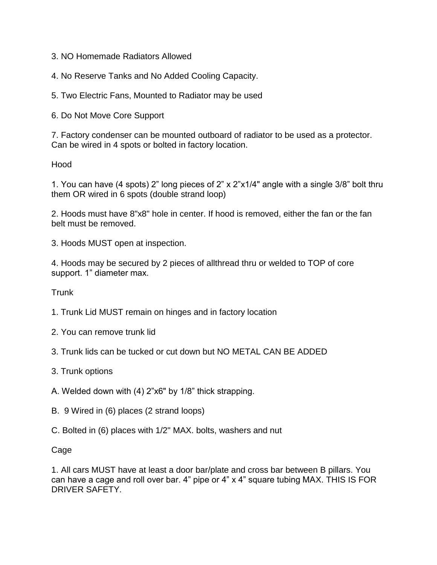- 3. NO Homemade Radiators Allowed
- 4. No Reserve Tanks and No Added Cooling Capacity.
- 5. Two Electric Fans, Mounted to Radiator may be used
- 6. Do Not Move Core Support

7. Factory condenser can be mounted outboard of radiator to be used as a protector. Can be wired in 4 spots or bolted in factory location.

Hood

1. You can have (4 spots) 2" long pieces of 2" x 2"x1/4" angle with a single 3/8" bolt thru them OR wired in 6 spots (double strand loop)

2. Hoods must have 8"x8" hole in center. If hood is removed, either the fan or the fan belt must be removed.

3. Hoods MUST open at inspection.

4. Hoods may be secured by 2 pieces of allthread thru or welded to TOP of core support. 1" diameter max.

Trunk

- 1. Trunk Lid MUST remain on hinges and in factory location
- 2. You can remove trunk lid
- 3. Trunk lids can be tucked or cut down but NO METAL CAN BE ADDED
- 3. Trunk options
- A. Welded down with (4) 2"x6" by 1/8" thick strapping.
- B. 9 Wired in (6) places (2 strand loops)
- C. Bolted in (6) places with 1/2" MAX. bolts, washers and nut

Cage

1. All cars MUST have at least a door bar/plate and cross bar between B pillars. You can have a cage and roll over bar. 4" pipe or 4" x 4" square tubing MAX. THIS IS FOR DRIVER SAFETY.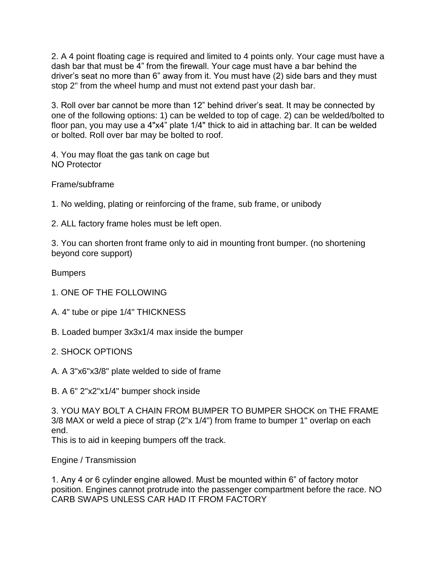2. A 4 point floating cage is required and limited to 4 points only. Your cage must have a dash bar that must be 4" from the firewall. Your cage must have a bar behind the driver's seat no more than 6" away from it. You must have (2) side bars and they must stop 2" from the wheel hump and must not extend past your dash bar.

3. Roll over bar cannot be more than 12" behind driver's seat. It may be connected by one of the following options: 1) can be welded to top of cage. 2) can be welded/bolted to floor pan, you may use a 4"x4" plate 1/4" thick to aid in attaching bar. It can be welded or bolted. Roll over bar may be bolted to roof.

4. You may float the gas tank on cage but NO Protector

Frame/subframe

1. No welding, plating or reinforcing of the frame, sub frame, or unibody

2. ALL factory frame holes must be left open.

3. You can shorten front frame only to aid in mounting front bumper. (no shortening beyond core support)

Bumpers

- 1. ONE OF THE FOLLOWING
- A. 4" tube or pipe 1/4" THICKNESS
- B. Loaded bumper 3x3x1/4 max inside the bumper
- 2. SHOCK OPTIONS
- A. A 3"x6"x3/8" plate welded to side of frame
- B. A 6" 2"x2"x1/4" bumper shock inside

3. YOU MAY BOLT A CHAIN FROM BUMPER TO BUMPER SHOCK on THE FRAME 3/8 MAX or weld a piece of strap (2"x 1/4") from frame to bumper 1" overlap on each end.

This is to aid in keeping bumpers off the track.

Engine / Transmission

1. Any 4 or 6 cylinder engine allowed. Must be mounted within 6" of factory motor position. Engines cannot protrude into the passenger compartment before the race. NO CARB SWAPS UNLESS CAR HAD IT FROM FACTORY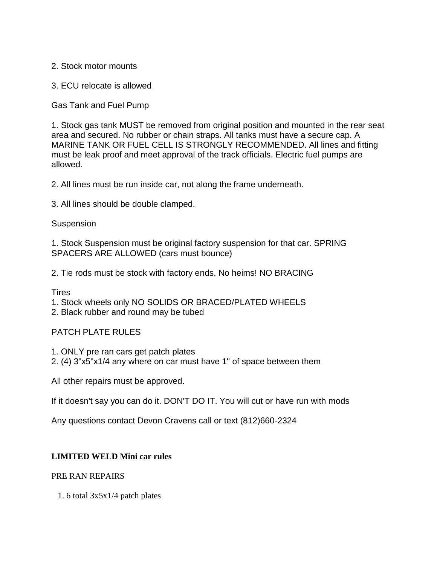2. Stock motor mounts

3. ECU relocate is allowed

Gas Tank and Fuel Pump

1. Stock gas tank MUST be removed from original position and mounted in the rear seat area and secured. No rubber or chain straps. All tanks must have a secure cap. A MARINE TANK OR FUEL CELL IS STRONGLY RECOMMENDED. All lines and fitting must be leak proof and meet approval of the track officials. Electric fuel pumps are allowed.

2. All lines must be run inside car, not along the frame underneath.

3. All lines should be double clamped.

#### Suspension

1. Stock Suspension must be original factory suspension for that car. SPRING SPACERS ARE ALLOWED (cars must bounce)

2. Tie rods must be stock with factory ends, No heims! NO BRACING

Tires

1. Stock wheels only NO SOLIDS OR BRACED/PLATED WHEELS

2. Black rubber and round may be tubed

## PATCH PLATE RULES

1. ONLY pre ran cars get patch plates

2. (4) 3"x5"x1/4 any where on car must have 1" of space between them

All other repairs must be approved.

If it doesn't say you can do it. DON'T DO IT. You will cut or have run with mods

Any questions contact Devon Cravens call or text (812)660-2324

### **LIMITED WELD Mini car rules**

### PRE RAN REPAIRS

1. 6 total 3x5x1/4 patch plates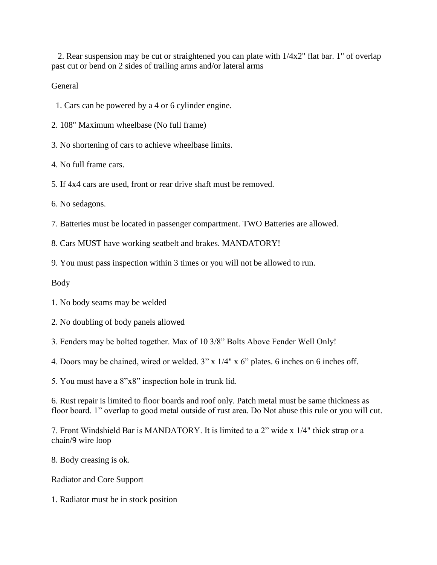2. Rear suspension may be cut or straightened you can plate with  $1/4x2$ " flat bar. 1" of overlap past cut or bend on 2 sides of trailing arms and/or lateral arms

General

1. Cars can be powered by a 4 or 6 cylinder engine.

2. 108" Maximum wheelbase (No full frame)

3. No shortening of cars to achieve wheelbase limits.

4. No full frame cars.

5. If 4x4 cars are used, front or rear drive shaft must be removed.

6. No sedagons.

7. Batteries must be located in passenger compartment. TWO Batteries are allowed.

8. Cars MUST have working seatbelt and brakes. MANDATORY!

9. You must pass inspection within 3 times or you will not be allowed to run.

Body

1. No body seams may be welded

2. No doubling of body panels allowed

3. Fenders may be bolted together. Max of 10 3/8" Bolts Above Fender Well Only!

4. Doors may be chained, wired or welded. 3" x 1/4" x 6" plates. 6 inches on 6 inches off.

5. You must have a 8"x8" inspection hole in trunk lid.

6. Rust repair is limited to floor boards and roof only. Patch metal must be same thickness as floor board. 1" overlap to good metal outside of rust area. Do Not abuse this rule or you will cut.

7. Front Windshield Bar is MANDATORY. It is limited to a 2" wide x 1/4" thick strap or a chain/9 wire loop

8. Body creasing is ok.

Radiator and Core Support

1. Radiator must be in stock position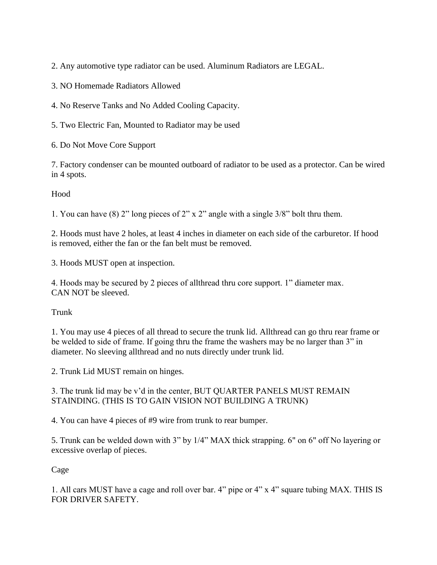2. Any automotive type radiator can be used. Aluminum Radiators are LEGAL.

3. NO Homemade Radiators Allowed

4. No Reserve Tanks and No Added Cooling Capacity.

5. Two Electric Fan, Mounted to Radiator may be used

6. Do Not Move Core Support

7. Factory condenser can be mounted outboard of radiator to be used as a protector. Can be wired in 4 spots.

Hood

1. You can have (8) 2" long pieces of 2" x 2" angle with a single 3/8" bolt thru them.

2. Hoods must have 2 holes, at least 4 inches in diameter on each side of the carburetor. If hood is removed, either the fan or the fan belt must be removed.

3. Hoods MUST open at inspection.

4. Hoods may be secured by 2 pieces of allthread thru core support. 1" diameter max. CAN NOT be sleeved.

Trunk

1. You may use 4 pieces of all thread to secure the trunk lid. Allthread can go thru rear frame or be welded to side of frame. If going thru the frame the washers may be no larger than 3" in diameter. No sleeving allthread and no nuts directly under trunk lid.

2. Trunk Lid MUST remain on hinges.

3. The trunk lid may be v'd in the center, BUT QUARTER PANELS MUST REMAIN STAINDING. (THIS IS TO GAIN VISION NOT BUILDING A TRUNK)

4. You can have 4 pieces of #9 wire from trunk to rear bumper.

5. Trunk can be welded down with 3" by 1/4" MAX thick strapping. 6" on 6" off No layering or excessive overlap of pieces.

Cage

1. All cars MUST have a cage and roll over bar. 4" pipe or 4" x 4" square tubing MAX. THIS IS FOR DRIVER SAFETY.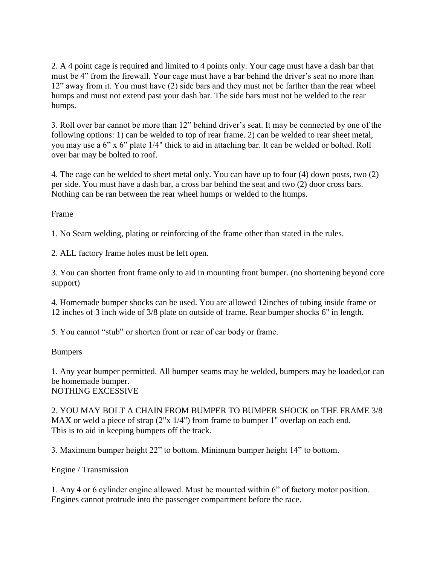2. A 4 point cage is required and limited to 4 points only. Your cage must have a dash bar that must be 4" from the firewall. Your cage must have a bar behind the driver's seat no more than 12" away from it. You must have (2) side bars and they must not be farther than the rear wheel humps and must not extend past your dash bar. The side bars must not be welded to the rear humps.

3. Roll over bar cannot be more than 12" behind driver's seat. It may be connected by one of the following options: 1) can be welded to top of rear frame. 2) can be welded to rear sheet metal, you may use a 6" x 6" plate 1/4" thick to aid in attaching bar. It can be welded or bolted. Roll over bar may be bolted to roof.

4. The cage can be welded to sheet metal only. You can have up to four (4) down posts, two (2) per side. You must have a dash bar, a cross bar behind the seat and two (2) door cross bars. Nothing can be ran between the rear wheel humps or welded to the humps.

Frame

1. No Seam welding, plating or reinforcing of the frame other than stated in the rules.

2. ALL factory frame holes must be left open.

3. You can shorten front frame only to aid in mounting front bumper. (no shortening beyond core support)

4. Homemade bumper shocks can be used. You are allowed 12inches of tubing inside frame or 12 inches of 3 inch wide of 3/8 plate on outside of frame. Rear bumper shocks 6" in length.

5. You cannot "stub" or shorten front or rear of car body or frame.

Bumpers

1. Any year bumper permitted. All bumper seams may be welded, bumpers may be loaded,or can be homemade bumper. NOTHING EXCESSIVE

2. YOU MAY BOLT A CHAIN FROM BUMPER TO BUMPER SHOCK on THE FRAME 3/8 MAX or weld a piece of strap (2"x 1/4") from frame to bumper 1" overlap on each end. This is to aid in keeping bumpers off the track.

3. Maximum bumper height 22" to bottom. Minimum bumper height 14" to bottom.

Engine / Transmission

1. Any 4 or 6 cylinder engine allowed. Must be mounted within 6" of factory motor position. Engines cannot protrude into the passenger compartment before the race.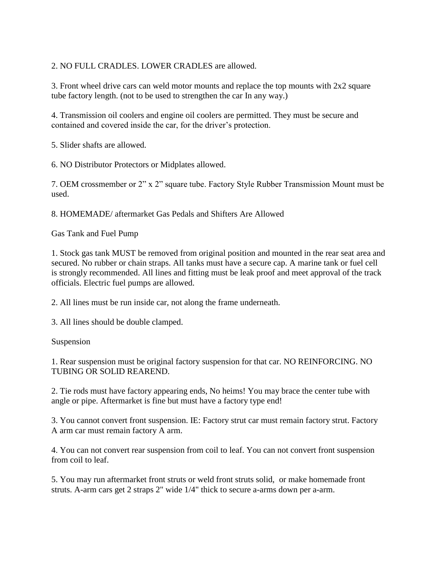# 2. NO FULL CRADLES. LOWER CRADLES are allowed.

3. Front wheel drive cars can weld motor mounts and replace the top mounts with 2x2 square tube factory length. (not to be used to strengthen the car In any way.)

4. Transmission oil coolers and engine oil coolers are permitted. They must be secure and contained and covered inside the car, for the driver's protection.

5. Slider shafts are allowed.

6. NO Distributor Protectors or Midplates allowed.

7. OEM crossmember or 2" x 2" square tube. Factory Style Rubber Transmission Mount must be used.

8. HOMEMADE/ aftermarket Gas Pedals and Shifters Are Allowed

Gas Tank and Fuel Pump

1. Stock gas tank MUST be removed from original position and mounted in the rear seat area and secured. No rubber or chain straps. All tanks must have a secure cap. A marine tank or fuel cell is strongly recommended. All lines and fitting must be leak proof and meet approval of the track officials. Electric fuel pumps are allowed.

2. All lines must be run inside car, not along the frame underneath.

3. All lines should be double clamped.

Suspension

1. Rear suspension must be original factory suspension for that car. NO REINFORCING. NO TUBING OR SOLID REAREND.

2. Tie rods must have factory appearing ends, No heims! You may brace the center tube with angle or pipe. Aftermarket is fine but must have a factory type end!

3. You cannot convert front suspension. IE: Factory strut car must remain factory strut. Factory A arm car must remain factory A arm.

4. You can not convert rear suspension from coil to leaf. You can not convert front suspension from coil to leaf.

5. You may run aftermarket front struts or weld front struts solid, or make homemade front struts. A-arm cars get 2 straps 2" wide 1/4" thick to secure a-arms down per a-arm.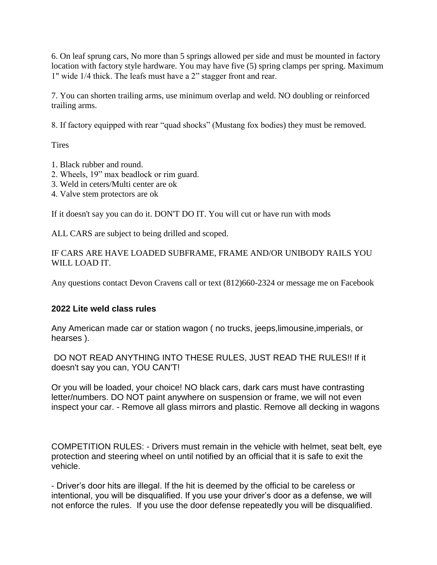6. On leaf sprung cars, No more than 5 springs allowed per side and must be mounted in factory location with factory style hardware. You may have five (5) spring clamps per spring. Maximum 1" wide 1/4 thick. The leafs must have a 2" stagger front and rear.

7. You can shorten trailing arms, use minimum overlap and weld. NO doubling or reinforced trailing arms.

8. If factory equipped with rear "quad shocks" (Mustang fox bodies) they must be removed.

**Tires** 

- 1. Black rubber and round.
- 2. Wheels, 19" max beadlock or rim guard.
- 3. Weld in ceters/Multi center are ok
- 4. Valve stem protectors are ok

If it doesn't say you can do it. DON'T DO IT. You will cut or have run with mods

ALL CARS are subject to being drilled and scoped.

IF CARS ARE HAVE LOADED SUBFRAME, FRAME AND/OR UNIBODY RAILS YOU WILL LOAD IT.

Any questions contact Devon Cravens call or text (812)660-2324 or message me on Facebook

# **2022 Lite weld class rules**

Any American made car or station wagon ( no trucks, jeeps,limousine,imperials, or hearses ).

DO NOT READ ANYTHING INTO THESE RULES, JUST READ THE RULES!! If it doesn't say you can, YOU CAN'T!

Or you will be loaded, your choice! NO black cars, dark cars must have contrasting letter/numbers. DO NOT paint anywhere on suspension or frame, we will not even inspect your car. - Remove all glass mirrors and plastic. Remove all decking in wagons

COMPETITION RULES: - Drivers must remain in the vehicle with helmet, seat belt, eye protection and steering wheel on until notified by an official that it is safe to exit the vehicle.

- Driver's door hits are illegal. If the hit is deemed by the official to be careless or intentional, you will be disqualified. If you use your driver's door as a defense, we will not enforce the rules. If you use the door defense repeatedly you will be disqualified.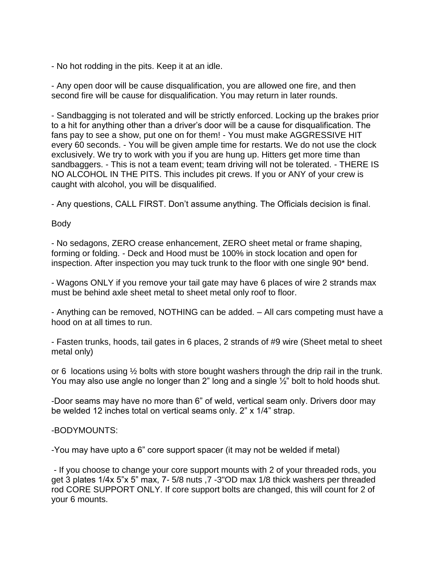- No hot rodding in the pits. Keep it at an idle.

- Any open door will be cause disqualification, you are allowed one fire, and then second fire will be cause for disqualification. You may return in later rounds.

- Sandbagging is not tolerated and will be strictly enforced. Locking up the brakes prior to a hit for anything other than a driver's door will be a cause for disqualification. The fans pay to see a show, put one on for them! - You must make AGGRESSIVE HIT every 60 seconds. - You will be given ample time for restarts. We do not use the clock exclusively. We try to work with you if you are hung up. Hitters get more time than sandbaggers. - This is not a team event; team driving will not be tolerated. - THERE IS NO ALCOHOL IN THE PITS. This includes pit crews. If you or ANY of your crew is caught with alcohol, you will be disqualified.

- Any questions, CALL FIRST. Don't assume anything. The Officials decision is final.

## Body

- No sedagons, ZERO crease enhancement, ZERO sheet metal or frame shaping, forming or folding. - Deck and Hood must be 100% in stock location and open for inspection. After inspection you may tuck trunk to the floor with one single 90\* bend.

- Wagons ONLY if you remove your tail gate may have 6 places of wire 2 strands max must be behind axle sheet metal to sheet metal only roof to floor.

- Anything can be removed, NOTHING can be added. – All cars competing must have a hood on at all times to run.

- Fasten trunks, hoods, tail gates in 6 places, 2 strands of #9 wire (Sheet metal to sheet metal only)

or 6 locations using  $\frac{1}{2}$  bolts with store bought washers through the drip rail in the trunk. You may also use angle no longer than 2" long and a single ½" bolt to hold hoods shut.

-Door seams may have no more than 6" of weld, vertical seam only. Drivers door may be welded 12 inches total on vertical seams only. 2" x 1/4" strap.

## -BODYMOUNTS:

-You may have upto a 6" core support spacer (it may not be welded if metal)

- If you choose to change your core support mounts with 2 of your threaded rods, you get 3 plates 1/4x 5"x 5" max, 7- 5/8 nuts ,7 -3"OD max 1/8 thick washers per threaded rod CORE SUPPORT ONLY. If core support bolts are changed, this will count for 2 of your 6 mounts.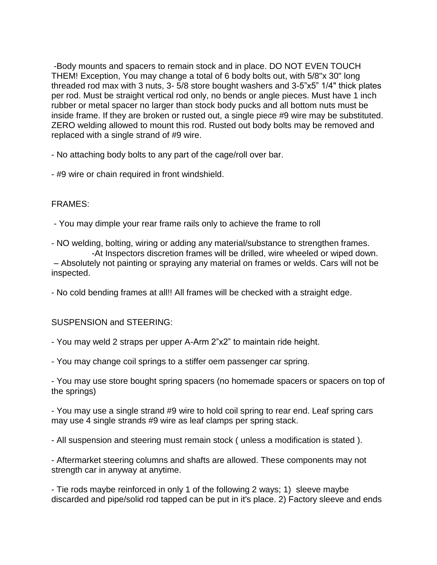-Body mounts and spacers to remain stock and in place. DO NOT EVEN TOUCH THEM! Exception, You may change a total of 6 body bolts out, with 5/8"x 30" long threaded rod max with 3 nuts, 3- 5/8 store bought washers and 3-5"x5" 1/4" thick plates per rod. Must be straight vertical rod only, no bends or angle pieces. Must have 1 inch rubber or metal spacer no larger than stock body pucks and all bottom nuts must be inside frame. If they are broken or rusted out, a single piece #9 wire may be substituted. ZERO welding allowed to mount this rod. Rusted out body bolts may be removed and replaced with a single strand of #9 wire.

- No attaching body bolts to any part of the cage/roll over bar.

- #9 wire or chain required in front windshield.

# FRAMES:

- You may dimple your rear frame rails only to achieve the frame to roll

- NO welding, bolting, wiring or adding any material/substance to strengthen frames. -At Inspectors discretion frames will be drilled, wire wheeled or wiped down.

– Absolutely not painting or spraying any material on frames or welds. Cars will not be inspected.

- No cold bending frames at all!! All frames will be checked with a straight edge.

## SUSPENSION and STEERING:

- You may weld 2 straps per upper A-Arm 2"x2" to maintain ride height.

- You may change coil springs to a stiffer oem passenger car spring.

- You may use store bought spring spacers (no homemade spacers or spacers on top of the springs)

- You may use a single strand #9 wire to hold coil spring to rear end. Leaf spring cars may use 4 single strands #9 wire as leaf clamps per spring stack.

- All suspension and steering must remain stock ( unless a modification is stated ).

- Aftermarket steering columns and shafts are allowed. These components may not strength car in anyway at anytime.

- Tie rods maybe reinforced in only 1 of the following 2 ways; 1) sleeve maybe discarded and pipe/solid rod tapped can be put in it's place. 2) Factory sleeve and ends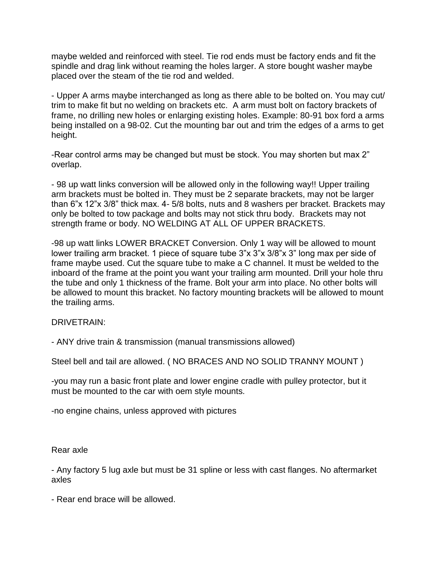maybe welded and reinforced with steel. Tie rod ends must be factory ends and fit the spindle and drag link without reaming the holes larger. A store bought washer maybe placed over the steam of the tie rod and welded.

- Upper A arms maybe interchanged as long as there able to be bolted on. You may cut/ trim to make fit but no welding on brackets etc. A arm must bolt on factory brackets of frame, no drilling new holes or enlarging existing holes. Example: 80-91 box ford a arms being installed on a 98-02. Cut the mounting bar out and trim the edges of a arms to get height.

-Rear control arms may be changed but must be stock. You may shorten but max 2" overlap.

- 98 up watt links conversion will be allowed only in the following way!! Upper trailing arm brackets must be bolted in. They must be 2 separate brackets, may not be larger than 6"x 12"x 3/8" thick max. 4- 5/8 bolts, nuts and 8 washers per bracket. Brackets may only be bolted to tow package and bolts may not stick thru body. Brackets may not strength frame or body. NO WELDING AT ALL OF UPPER BRACKETS.

-98 up watt links LOWER BRACKET Conversion. Only 1 way will be allowed to mount lower trailing arm bracket. 1 piece of square tube 3"x 3"x 3/8"x 3" long max per side of frame maybe used. Cut the square tube to make a C channel. It must be welded to the inboard of the frame at the point you want your trailing arm mounted. Drill your hole thru the tube and only 1 thickness of the frame. Bolt your arm into place. No other bolts will be allowed to mount this bracket. No factory mounting brackets will be allowed to mount the trailing arms.

DRIVETRAIN:

- ANY drive train & transmission (manual transmissions allowed)

Steel bell and tail are allowed. ( NO BRACES AND NO SOLID TRANNY MOUNT )

-you may run a basic front plate and lower engine cradle with pulley protector, but it must be mounted to the car with oem style mounts.

-no engine chains, unless approved with pictures

Rear axle

- Any factory 5 lug axle but must be 31 spline or less with cast flanges. No aftermarket axles

- Rear end brace will be allowed.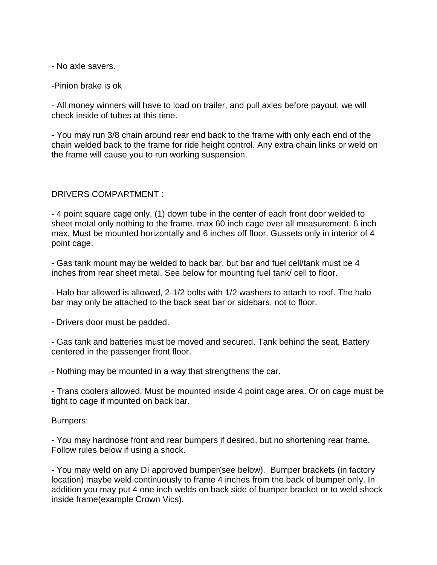- No axle savers.

-Pinion brake is ok

- All money winners will have to load on trailer, and pull axles before payout, we will check inside of tubes at this time.

- You may run 3/8 chain around rear end back to the frame with only each end of the chain welded back to the frame for ride height control. Any extra chain links or weld on the frame will cause you to run working suspension.

## DRIVERS COMPARTMENT :

- 4 point square cage only, (1) down tube in the center of each front door welded to sheet metal only nothing to the frame. max 60 inch cage over all measurement. 6 inch max, Must be mounted horizontally and 6 inches off floor. Gussets only in interior of 4 point cage.

- Gas tank mount may be welded to back bar, but bar and fuel cell/tank must be 4 inches from rear sheet metal. See below for mounting fuel tank/ cell to floor.

- Halo bar allowed is allowed, 2-1/2 bolts with 1/2 washers to attach to roof. The halo bar may only be attached to the back seat bar or sidebars, not to floor.

- Drivers door must be padded.

- Gas tank and batteries must be moved and secured. Tank behind the seat, Battery centered in the passenger front floor.

- Nothing may be mounted in a way that strengthens the car.

- Trans coolers allowed. Must be mounted inside 4 point cage area. Or on cage must be tight to cage if mounted on back bar.

#### Bumpers:

- You may hardnose front and rear bumpers if desired, but no shortening rear frame. Follow rules below if using a shock.

- You may weld on any DI approved bumper(see below). Bumper brackets (in factory location) maybe weld continuously to frame 4 inches from the back of bumper only. In addition you may put 4 one inch welds on back side of bumper bracket or to weld shock inside frame(example Crown Vics).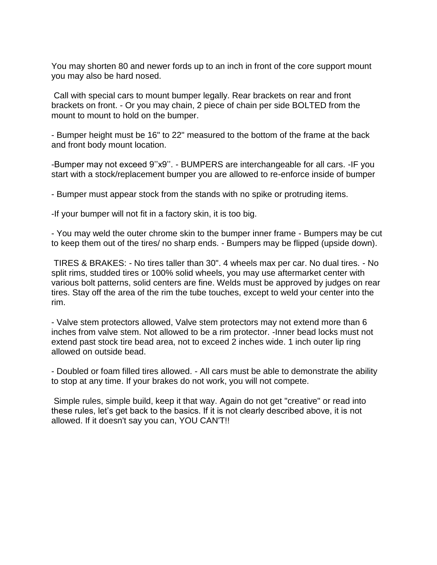You may shorten 80 and newer fords up to an inch in front of the core support mount you may also be hard nosed.

Call with special cars to mount bumper legally. Rear brackets on rear and front brackets on front. - Or you may chain, 2 piece of chain per side BOLTED from the mount to mount to hold on the bumper.

- Bumper height must be 16" to 22" measured to the bottom of the frame at the back and front body mount location.

-Bumper may not exceed 9''x9''. - BUMPERS are interchangeable for all cars. -IF you start with a stock/replacement bumper you are allowed to re-enforce inside of bumper

- Bumper must appear stock from the stands with no spike or protruding items.

-If your bumper will not fit in a factory skin, it is too big.

- You may weld the outer chrome skin to the bumper inner frame - Bumpers may be cut to keep them out of the tires/ no sharp ends. - Bumpers may be flipped (upside down).

TIRES & BRAKES: - No tires taller than 30". 4 wheels max per car. No dual tires. - No split rims, studded tires or 100% solid wheels, you may use aftermarket center with various bolt patterns, solid centers are fine. Welds must be approved by judges on rear tires. Stay off the area of the rim the tube touches, except to weld your center into the rim.

- Valve stem protectors allowed, Valve stem protectors may not extend more than 6 inches from valve stem. Not allowed to be a rim protector. -Inner bead locks must not extend past stock tire bead area, not to exceed 2 inches wide. 1 inch outer lip ring allowed on outside bead.

- Doubled or foam filled tires allowed. - All cars must be able to demonstrate the ability to stop at any time. If your brakes do not work, you will not compete.

Simple rules, simple build, keep it that way. Again do not get "creative" or read into these rules, let's get back to the basics. If it is not clearly described above, it is not allowed. If it doesn't say you can, YOU CAN'T!!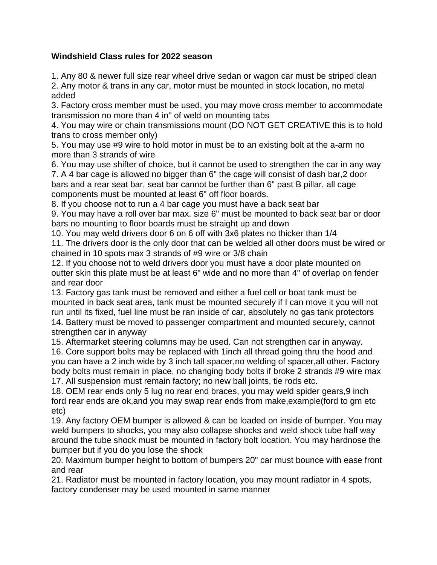# **Windshield Class rules for 2022 season**

1. Any 80 & newer full size rear wheel drive sedan or wagon car must be striped clean 2. Any motor & trans in any car, motor must be mounted in stock location, no metal added

3. Factory cross member must be used, you may move cross member to accommodate transmission no more than 4 in'' of weld on mounting tabs

4. You may wire or chain transmissions mount (DO NOT GET CREATIVE this is to hold trans to cross member only)

5. You may use #9 wire to hold motor in must be to an existing bolt at the a-arm no more than 3 strands of wire

6. You may use shifter of choice, but it cannot be used to strengthen the car in any way 7. A 4 bar cage is allowed no bigger than 6" the cage will consist of dash bar,2 door bars and a rear seat bar, seat bar cannot be further than 6" past B pillar, all cage components must be mounted at least 6" off floor boards.

8. If you choose not to run a 4 bar cage you must have a back seat bar

9. You may have a roll over bar max. size 6" must be mounted to back seat bar or door bars no mounting to floor boards must be straight up and down

10. You may weld drivers door 6 on 6 off with 3x6 plates no thicker than 1/4

11. The drivers door is the only door that can be welded all other doors must be wired or chained in 10 spots max 3 strands of #9 wire or 3/8 chain

12. If you choose not to weld drivers door you must have a door plate mounted on outter skin this plate must be at least 6" wide and no more than 4" of overlap on fender and rear door

13. Factory gas tank must be removed and either a fuel cell or boat tank must be mounted in back seat area, tank must be mounted securely if I can move it you will not run until its fixed, fuel line must be ran inside of car, absolutely no gas tank protectors

14. Battery must be moved to passenger compartment and mounted securely, cannot strengthen car in anyway

15. Aftermarket steering columns may be used. Can not strengthen car in anyway.

16. Core support bolts may be replaced with 1inch all thread going thru the hood and you can have a 2 inch wide by 3 inch tall spacer,no welding of spacer,all other. Factory body bolts must remain in place, no changing body bolts if broke 2 strands #9 wire max 17. All suspension must remain factory; no new ball joints, tie rods etc.

18. OEM rear ends only 5 lug no rear end braces, you may weld spider gears,9 inch ford rear ends are ok,and you may swap rear ends from make,example(ford to gm etc etc)

19. Any factory OEM bumper is allowed & can be loaded on inside of bumper. You may weld bumpers to shocks, you may also collapse shocks and weld shock tube half way around the tube shock must be mounted in factory bolt location. You may hardnose the bumper but if you do you lose the shock

20. Maximum bumper height to bottom of bumpers 20" car must bounce with ease front and rear

21. Radiator must be mounted in factory location, you may mount radiator in 4 spots, factory condenser may be used mounted in same manner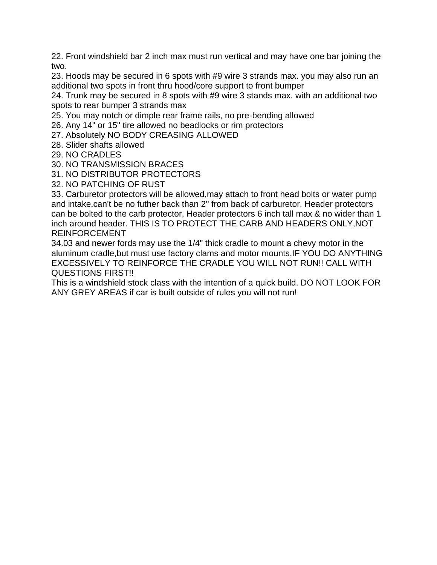22. Front windshield bar 2 inch max must run vertical and may have one bar joining the two.

23. Hoods may be secured in 6 spots with #9 wire 3 strands max. you may also run an additional two spots in front thru hood/core support to front bumper

24. Trunk may be secured in 8 spots with #9 wire 3 stands max. with an additional two spots to rear bumper 3 strands max

25. You may notch or dimple rear frame rails, no pre-bending allowed

26. Any 14" or 15" tire allowed no beadlocks or rim protectors

27. Absolutely NO BODY CREASING ALLOWED

28. Slider shafts allowed

29. NO CRADLES

30. NO TRANSMISSION BRACES

31. NO DISTRIBUTOR PROTECTORS

32. NO PATCHING OF RUST

33. Carburetor protectors will be allowed,may attach to front head bolts or water pump and intake.can't be no futher back than 2'' from back of carburetor. Header protectors can be bolted to the carb protector, Header protectors 6 inch tall max & no wider than 1 inch around header. THIS IS TO PROTECT THE CARB AND HEADERS ONLY,NOT REINFORCEMENT

34.03 and newer fords may use the 1/4" thick cradle to mount a chevy motor in the aluminum cradle,but must use factory clams and motor mounts,IF YOU DO ANYTHING EXCESSIVELY TO REINFORCE THE CRADLE YOU WILL NOT RUN!! CALL WITH QUESTIONS FIRST!!

This is a windshield stock class with the intention of a quick build. DO NOT LOOK FOR ANY GREY AREAS if car is built outside of rules you will not run!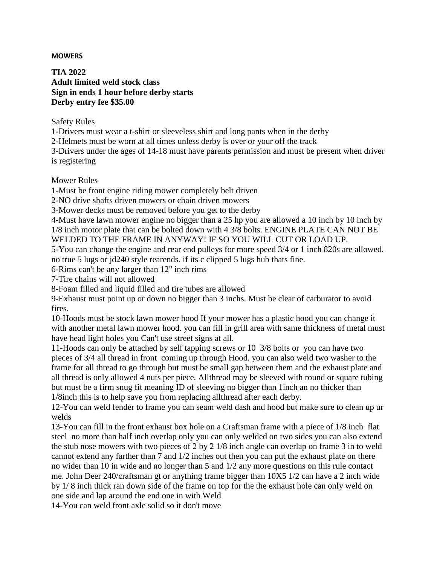#### **MOWERS**

**TIA 2022 Adult limited weld stock class Sign in ends 1 hour before derby starts Derby entry fee \$35.00**

Safety Rules

1-Drivers must wear a t-shirt or sleeveless shirt and long pants when in the derby

2-Helmets must be worn at all times unless derby is over or your off the track

3-Drivers under the ages of 14-18 must have parents permission and must be present when driver is registering

Mower Rules

1-Must be front engine riding mower completely belt driven

2-NO drive shafts driven mowers or chain driven mowers

3-Mower decks must be removed before you get to the derby

4-Must have lawn mower engine no bigger than a 25 hp you are allowed a 10 inch by 10 inch by 1/8 inch motor plate that can be bolted down with 4 3/8 bolts. ENGINE PLATE CAN NOT BE

WELDED TO THE FRAME IN ANYWAY! IF SO YOU WILL CUT OR LOAD UP.

5-You can change the engine and rear end pulleys for more speed 3/4 or 1 inch 820s are allowed. no true 5 lugs or jd240 style rearends. if its c clipped 5 lugs hub thats fine.

6-Rims can't be any larger than 12" inch rims

7-Tire chains will not allowed

8-Foam filled and liquid filled and tire tubes are allowed

9-Exhaust must point up or down no bigger than 3 inchs. Must be clear of carburator to avoid fires.

10-Hoods must be stock lawn mower hood If your mower has a plastic hood you can change it with another metal lawn mower hood. you can fill in grill area with same thickness of metal must have head light holes you Can't use street signs at all.

11-Hoods can only be attached by self tapping screws or 10 3/8 bolts or you can have two pieces of 3/4 all thread in front coming up through Hood. you can also weld two washer to the frame for all thread to go through but must be small gap between them and the exhaust plate and all thread is only allowed 4 nuts per piece. Allthread may be sleeved with round or square tubing but must be a firm snug fit meaning ID of sleeving no bigger than 1inch an no thicker than 1/8inch this is to help save you from replacing allthread after each derby.

12-You can weld fender to frame you can seam weld dash and hood but make sure to clean up ur welds

13-You can fill in the front exhaust box hole on a Craftsman frame with a piece of 1/8 inch flat steel no more than half inch overlap only you can only welded on two sides you can also extend the stub nose mowers with two pieces of 2 by 2 1/8 inch angle can overlap on frame 3 in to weld cannot extend any farther than 7 and 1/2 inches out then you can put the exhaust plate on there no wider than 10 in wide and no longer than 5 and 1/2 any more questions on this rule contact me. John Deer 240/craftsman gt or anything frame bigger than 10X5 1/2 can have a 2 inch wide by 1/ 8 inch thick ran down side of the frame on top for the the exhaust hole can only weld on one side and lap around the end one in with Weld

14-You can weld front axle solid so it don't move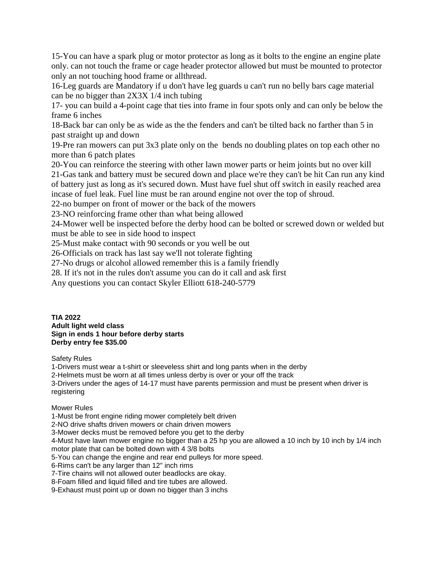15-You can have a spark plug or motor protector as long as it bolts to the engine an engine plate only. can not touch the frame or cage header protector allowed but must be mounted to protector only an not touching hood frame or allthread.

16-Leg guards are Mandatory if u don't have leg guards u can't run no belly bars cage material can be no bigger than 2X3X 1/4 inch tubing

17- you can build a 4-point cage that ties into frame in four spots only and can only be below the frame 6 inches

18-Back bar can only be as wide as the the fenders and can't be tilted back no farther than 5 in past straight up and down

19-Pre ran mowers can put 3x3 plate only on the bends no doubling plates on top each other no more than 6 patch plates

20-You can reinforce the steering with other lawn mower parts or heim joints but no over kill 21-Gas tank and battery must be secured down and place we're they can't be hit Can run any kind of battery just as long as it's secured down. Must have fuel shut off switch in easily reached area incase of fuel leak. Fuel line must be ran around engine not over the top of shroud.

22-no bumper on front of mower or the back of the mowers

23-NO reinforcing frame other than what being allowed

24-Mower well be inspected before the derby hood can be bolted or screwed down or welded but must be able to see in side hood to inspect

25-Must make contact with 90 seconds or you well be out

26-Officials on track has last say we'll not tolerate fighting

27-No drugs or alcohol allowed remember this is a family friendly

28. If it's not in the rules don't assume you can do it call and ask first

Any questions you can contact Skyler Elliott 618-240-5779

**TIA 2022 Adult light weld class Sign in ends 1 hour before derby starts Derby entry fee \$35.00**

Safety Rules

1-Drivers must wear a t-shirt or sleeveless shirt and long pants when in the derby

2-Helmets must be worn at all times unless derby is over or your off the track

3-Drivers under the ages of 14-17 must have parents permission and must be present when driver is registering

#### Mower Rules

1-Must be front engine riding mower completely belt driven 2-NO drive shafts driven mowers or chain driven mowers 3-Mower decks must be removed before you get to the derby 4-Must have lawn mower engine no bigger than a 25 hp you are allowed a 10 inch by 10 inch by 1/4 inch motor plate that can be bolted down with 4 3/8 bolts 5-You can change the engine and rear end pulleys for more speed. 6-Rims can't be any larger than 12" inch rims 7-Tire chains will not allowed outer beadlocks are okay. 8-Foam filled and liquid filled and tire tubes are allowed. 9-Exhaust must point up or down no bigger than 3 inchs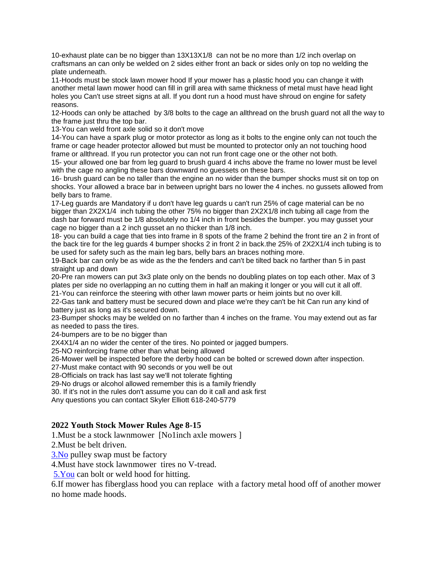10-exhaust plate can be no bigger than 13X13X1/8 can not be no more than 1/2 inch overlap on craftsmans an can only be welded on 2 sides either front an back or sides only on top no welding the plate underneath.

11-Hoods must be stock lawn mower hood If your mower has a plastic hood you can change it with another metal lawn mower hood can fill in grill area with same thickness of metal must have head light holes you Can't use street signs at all. If you dont run a hood must have shroud on engine for safety reasons.

12-Hoods can only be attached by 3/8 bolts to the cage an allthread on the brush guard not all the way to the frame just thru the top bar.

13-You can weld front axle solid so it don't move

14-You can have a spark plug or motor protector as long as it bolts to the engine only can not touch the frame or cage header protector allowed but must be mounted to protector only an not touching hood frame or allthread. If you run protector you can not run front cage one or the other not both.

15- your allowed one bar from leg guard to brush guard 4 inchs above the frame no lower must be level with the cage no angling these bars downward no guessets on these bars.

16- brush guard can be no taller than the engine an no wider than the bumper shocks must sit on top on shocks. Your allowed a brace bar in between upright bars no lower the 4 inches. no gussets allowed from belly bars to frame.

17-Leg guards are Mandatory if u don't have leg guards u can't run 25% of cage material can be no bigger than 2X2X1/4 inch tubing the other 75% no bigger than 2X2X1/8 inch tubing all cage from the dash bar forward must be 1/8 absolutely no 1/4 inch in front besides the bumper. you may gusset your cage no bigger than a 2 inch gusset an no thicker than 1/8 inch.

18- you can build a cage that ties into frame in 8 spots of the frame 2 behind the front tire an 2 in front of the back tire for the leg guards 4 bumper shocks 2 in front 2 in back.the 25% of 2X2X1/4 inch tubing is to be used for safety such as the main leg bars, belly bars an braces nothing more.

19-Back bar can only be as wide as the the fenders and can't be tilted back no farther than 5 in past straight up and down

20-Pre ran mowers can put 3x3 plate only on the bends no doubling plates on top each other. Max of 3 plates per side no overlapping an no cutting them in half an making it longer or you will cut it all off. 21-You can reinforce the steering with other lawn mower parts or heim joints but no over kill.

22-Gas tank and battery must be secured down and place we're they can't be hit Can run any kind of battery just as long as it's secured down.

23-Bumper shocks may be welded on no farther than 4 inches on the frame. You may extend out as far as needed to pass the tires.

24-bumpers are to be no bigger than

2X4X1/4 an no wider the center of the tires. No pointed or jagged bumpers.

25-NO reinforcing frame other than what being allowed

26-Mower well be inspected before the derby hood can be bolted or screwed down after inspection.

27-Must make contact with 90 seconds or you well be out

28-Officials on track has last say we'll not tolerate fighting

29-No drugs or alcohol allowed remember this is a family friendly

30. If it's not in the rules don't assume you can do it call and ask first

Any questions you can contact Skyler Elliott 618-240-5779

#### **2022 Youth Stock Mower Rules Age 8-15**

1.Must be a stock lawnmower [No1inch axle mowers ]

2.Must be belt driven.

[3.No](http://3.no/) pulley swap must be factory

4.Must have stock lawnmower tires no V-tread.

[5.You](http://5.you/) can bolt or weld hood for hitting.

6.If mower has fiberglass hood you can replace with a factory metal hood off of another mower no home made hoods.